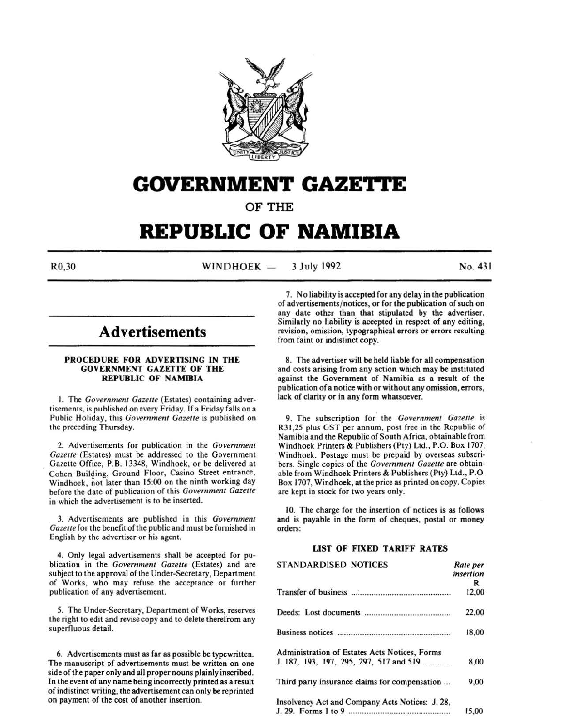

# **GOVERNMENT GAZE'ri'E**

OF THE

# **REPUBLIC OF NAMIBIA**

 $R0,30$  WINDHOEK  $-$ 3 July 1992 No. 431

# **Advertisements**

# PROCEDURE FOR ADVERTISING IN THE GOVERNMENT GAZETTE OF THE REPUBLIC OF NAMIBIA

I. The *Government Gazelle* (Estates) containing advertisements, is published on every Friday. If a Friday falls on a Public Holiday, this *Government Gazette* is published on the preceding Thursday.

2. Advertisements for publication in the *Government Gazette* (Estates) must be addressed to the Government Gazette Office, P.B. 13348, Windhoek, or be delivered at Cohen Building, Ground Floor, Casino Street entrance, Windhoek, not later than 15:00 on the ninth working day before the date of publicauon of this *Government Gazelle*  in which the advertisement is to be inserted.

3. Advertisements are published in this *Government*  Gazette for the benefit of the public and must be furnished in English by the advertiser or his agent.

4. Only legal advertisements shall be accepted for publication in the *Government Gazelle* (Estates) and are subject to the approval of the Under-Secretary, Department of Works, who may refuse the acceptance or further publication of any advertisement.

5. The Under-Secretary, Department of Works, reserves the right to edit and revise copy and to delete therefrom any superfluous detail.

6. Advertisements must as far as possible be typewritten. The manuscript of advertisements must be written on one side of the paper only and all proper nouns plainly inscribed . In the event of any name being incorrectly printed as a result of indistinct writing, the advertisement can only be reprinted on payment of the cost of another insertion.

7. No liability is accepted for any delay in the publication of advertisements/ notices, or for the publication of such on any date other than that stipulated by the advertiser. Similarly no liability is accepted in respect of any editing, revision, omission, typographical errors or errors resulting from faint or indistinct copy.

8. The advertiser will be held liable for all compensation and costs arising from any action which may be instituted against the Government of Namibia as a result of the publication of a notice with or without any omission, errors, lack of clarity or in any form whatsoever.

9. The subscription for. the *Government Gazelle* is R31,25 plus GST per annum, post free in the Republic of Namibia and the Republic of South Africa, obtainable from Windhoek Printers & Publishers (Pty) Ltd., P.O. Box 1707, Windhoek. Postage must be prepaid by overseas subscribers. Single copies of the *Government Gazelle* are obtainable from Windhoek Printers & Publishers (Pty) Ltd., P.O. Box 1707, Windhoek, at the price as printed on copy. Copies are kept in stock for two years only.

10. The charge for the insertion of notices is as follows and is payable in the form of cheques, postal or money orders:

# LIST OF FIXED TARIFF RATES

| <b>STANDARDISED NOTICES</b>                     | Rate per<br>insertion |
|-------------------------------------------------|-----------------------|
|                                                 | R                     |
|                                                 | 12,00                 |
|                                                 | 22,00                 |
|                                                 | 18,00                 |
| Administration of Estates Acts Notices, Forms   |                       |
| J. 187, 193, 197, 295, 297, 517 and 519         | 8,00                  |
| Third party insurance claims for compensation   | 9,00                  |
| Insolvency Act and Company Acts Notices: J. 28, | 15.00                 |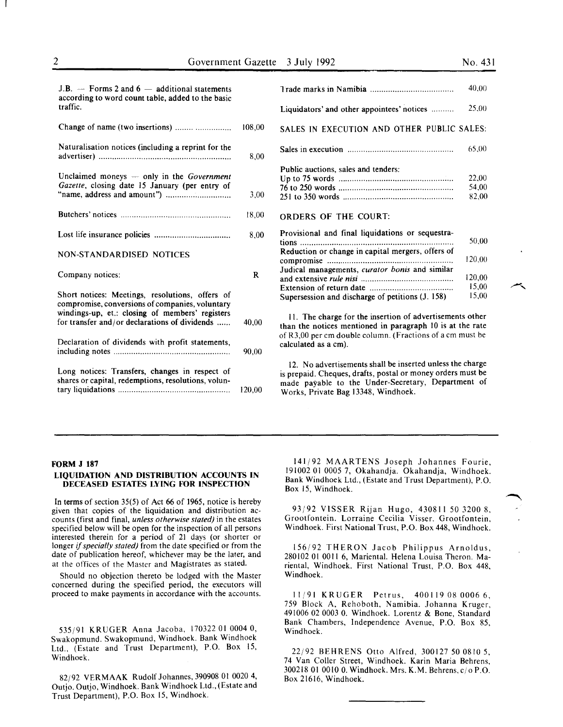| $J.B.$ — Forms 2 and 6 — additional statements<br>according to word count table, added to the basic   |             | Trade marks in Nar                                                                 |
|-------------------------------------------------------------------------------------------------------|-------------|------------------------------------------------------------------------------------|
| traffic.                                                                                              |             | Liquidators' and otl                                                               |
| Change of name (two insertions)                                                                       | 108,00      | <b>SALES IN EXECU</b>                                                              |
| Naturalisation notices (including a reprint for the                                                   | 8,00        | Sales in execution.                                                                |
| Unclaimed moneys - only in the Government<br>Gazette, closing date 15 January (per entry of           |             | Public auctions, sal-<br>Up to $75$ words<br>76 to 250 words                       |
|                                                                                                       | 3,00        | 251 to 350 words                                                                   |
|                                                                                                       | 18,00       | <b>ORDERS OF TH</b>                                                                |
|                                                                                                       | 8.00        | Provisional and fir<br>tions                                                       |
| <b>NON-STANDARDISED NOTICES</b>                                                                       |             | Reduction or chang<br>compromise                                                   |
| Company notices:                                                                                      | $\mathbf R$ | Judical managemen<br>and extensive rule n                                          |
| Short notices: Meetings, resolutions, offers of<br>compromise, conversions of companies, voluntary    |             | Extension of return<br>Supersession and di                                         |
| windings-up, et.: closing of members' registers<br>for transfer and/or declarations of dividends      | 40,00       | 11. The charge fo<br>than the notices me                                           |
| Declaration of dividends with profit statements,                                                      | 90,00       | of R3,00 per cm dou<br>calculated as a cm).                                        |
| Long notices: Transfers, changes in respect of<br>shares or capital, redemptions, resolutions, volun- | 120,00      | 12. No advertiser<br>is prepaid. Cheques.<br>made payable to<br>Works, Private Bag |

|                                                                                                                | 40,00                   |
|----------------------------------------------------------------------------------------------------------------|-------------------------|
| Liquidators' and other appointees' notices                                                                     | 25,00                   |
| SALES IN EXECUTION AND OTHER PUBLIC SALES:                                                                     |                         |
|                                                                                                                | 65,00                   |
| Public auctions, sales and tenders:                                                                            | 22,00<br>54,00<br>82,00 |
| ORDERS OF THE COURT:                                                                                           |                         |
| Provisional and final liquidations or sequestra-<br>tions<br>Reduction or change in capital mergers, offers of | 50,00                   |
|                                                                                                                | 120,00                  |
| Judical managements, curator bonis and similar                                                                 | 120,00<br>15,00         |
| Supersession and discharge of petitions (J. 158)                                                               | 15,00                   |

for the insertion of advertisements other the notice in paragraph 10 is at the rate uble column. (Fractions of a cm must be

ments shall be inserted unless the charge s, drafts, postal or money orders must be the Under-Secretary, Department of g 13348, Windhoek.

#### FORM J 187

#### LIQUIDATION AND DISTRIBUTION ACCOUNTS IN DECEASED ESTATES LYING FOR INSPECTION

In terms of section 35(5) of Act 66 of 1965, notice is hereby given that copies of the liquidation and distribution accounts (first and final, *unless otherwise stated)* in the estates specified below will be open for the inspection of all persons interested therein for a period of 21 days (or shorter or longer if *specially stated)* from the date specified or from the date of publication hereof, whichever may be the later, and at the offices of the Master and Magistrates as stated.

Should no objection thereto be lodged with the Master concerned during the specified period, the executors will proceed to make payments in accordance with the accounts.

S35/91 KRUGER Anna Jacoba, 170322 01 0004 0, Swakopmund. Swakopmund, Windhoek. Bank Windhoek Ltd., (Estate and Trust Department), P.O. Box 15, Windhoek.

82/92 VERMAAK Rudolf Johannes, 390908 01 0020 4, Outjo. Outjo, Windhoek. Bank Windhoek Ltd., (Estate and Trust Department), P.O. Box 15, Windhoek.

141/92 MAARTENS Joseph Johannes Fourie, 191002 01 0005 7, Okahandja. Okahandja, Windhoek. Bank Windhoek Ltd., (Estate and Trust Department), P.O. Box 15, Windhoek.

93/92 VISSER Rijan Hugo, 430811 SO 3200 8, Grootfontein. Lorraine Cecilia Visser. Grootfontein, Windhoek. First National Trust, P.O. Box 448, Windhoek.

156/92 THERON Jacob Philippus Arnoldus, 280102 01 0011 6, Mariental. Helena Louisa Theron. Mariental, Windhoek. First National Trust, P.O. Box 448, Windhoek.

11/91 KRUGER Petrus, 4001190800066, 7S9 Block A, Rehoboth, Namibia. Johanna Kruger, 491006 02 0003 0. Windhoek. Lorentz & Bone, Standard Bank Chambers, Independence Avenue, P.O. Box 8S, Windhoek.

22/92 BEHRENS Otto Alfred, 300127 SO 0810 S, 74 Van Coller Street, Windhoek. Karin Maria Behrens, 300218 01 0010 0. Windhoek. Mrs. K.M. Behrens, c/o P.O. Box 21616, Windhoek.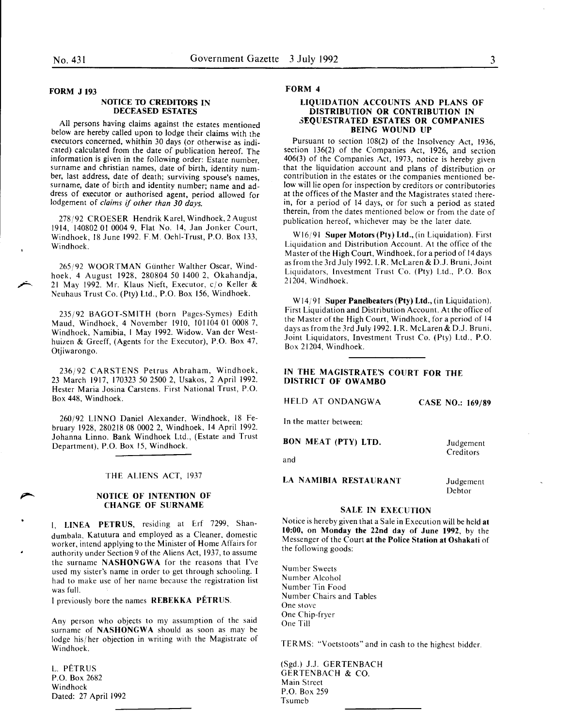#### FORM J 193

#### NOTICE TO CREDITORS IN DECEASED ESTATES

All persons having claims against the estates mentioned below are hereby called upori to lodge their claims with the executors concerned, whithin 30 days (or otherwise as indicated) calculated from the date of publication hereof. The information is given in the following order: Estate number surname and christian names, date of birth, identity number, last address, date of death; surviving spouse's names, surname, date of birth and identity number; name and address of executor or authorised agent, period allowed for lodgement of *claims* if *other than 30 days.* 

278/92 CROESER Hendrik Karel, Windhoek, 2 August 1914, 140802 01 0004 9, Flat No. 14, Jan Jonker Court, Windhoek, 18 June 1992. F.M. Oehl-Trust, P.O. Box 133, Windhoek.

265/92 WOORTMAN Gunther Walther Oscar, Windhoek, 4 August 1928, 280804 50 1400 2, Okahandja, 21 May 1992. Mr. Klaus Nieft, Executor, c/o Keller & Neuhaus Trust Co. (Pty) Ltd., P.O. Box 156, Windhoek.

235/92 BAGOT-SMITH (born Pages-Symes) Edith Maud, Windhoek, 4 November 1910, 101104 01 0008 7, Windhoek, Namibia, I May 1992. Widow. Vander Westhuizen & Greeff, (Agents for the Executor), P.O. Box 47, Otjiwarongo.

236/92 CARSTENS Petrus Abraham, Windhoek, 23 March 1917, 170323 50 2500 2, Usakos, 2 April 1992. Hester Maria Josina Carstens. First National Trust, P.O. Box 448, Windhoek.

260/92 LINNO Daniel Alexander, Windhoek, 18 February 1928, 280218 08 0002 2, Windhoek, 14 April 1992. Johanna Linno. Bank Windhoek Ltd., (Estate and Trust Department), P.O. Box 15, Windhoek.

#### THE ALIENS ACT, 1937

#### NOTICE OF INTENTION OF CHANGE OF SURNAME

I, LINEA PETRUS, residing at Erf 7299, Shandumbala, Katutura and employed as a Cleaner. domestic worker, intend applying to the Minister of Home Affairs for authority under Section 9 of the Aliens Act, 1937, to assume the surname NASHONGWA for the reasons that I've used my sister's name in order to get through schooling. I had to make use of her name because the registration list was full.

I previously bore the names REBEKKA PETRUS.

Any person who objects to my assumption of the said surname of NASHONGWA should as soon as may be lodge his/ her objection in writing with the Magistrate of Windhoek.

L. PETRUS P.O. Box 2682 Windhoek Dated: 27 April 1992 FORM 4

#### LIQUIDATION ACCOUNTS AND PLANS OF DISTRIBUTION OR CONTRIBUTION IN 3EQUESTRATED ESTATES OR COMPANIES BEING WOUND UP

Pursuant to section 108(2) of the Insolvency Act, 1936, section 136(2) of the Companies Act, 1926, and section 406(3) of the Companies Act, 1973, notice is hereby given that the liquidation account and plans of distribution or contribution in the estates or the companies mentioned below will lie open for inspection by creditors or contributories at the offices of the Master and the Magistrates stated therein, for a period of 14 days, or for such a period as stated therein, from the dates mentioned below or from the date of publication hereof, whichever may be the later date.

W16/91 Super Motors (Pty) Ltd., (in Liquidation). First Liquidation and Distribution Account. At the office of the Master of the High Court, Windhoek, for a period of 14 days as from the 3rd July 1992. I.R. McLaren & D.J. Bruni, Joint Liquidators, Investment Trust Co. (Pty) Ltd., P.O. Box 21204, Windhoek.

W14/91 Super Panelbeaters (Pty) Ltd., (in Liquidation). First Liquidation and Distribution Account. At the office of the Master of the High Court, Windhoek, for a period of 14 days as from the 3rd July 1992. I.R. McLaren & D.J. Bruni, Joint Liquidators, Investment Trust Co. (Pty) Ltd., P.O. Box 21204, Windhoek.

# IN THE MAGISTRATE'S COURT FOR THE DISTRICT OF OWAMBO

HELD AT ONDANGWA

CASE NO.: 169/89

In the matter between:

BON MEAT (PTY) LTD.

and

LA NAMIBIA RESTAURANT

Judgement Debtor

Judgement **Creditors** 

# SALE IN EXECUTION

Notice is hereby given that a Sale in Execution will be held at 10:00, on Monday the 22nd day of June 1992, by the Messenger of the Court at the Police Station at Oshakati of the following goods:

Number Sweets Number Alcohol Number Tin Food Number Chairs and Tables One stove One Chip-fryer One Till

TERMS: "Voetstoots" and in cash to the highest bidder.

(Sgd.) J.J. GERTENBACH GERTENBACH & CO. Main Street P.O. Box 259 Tsumeb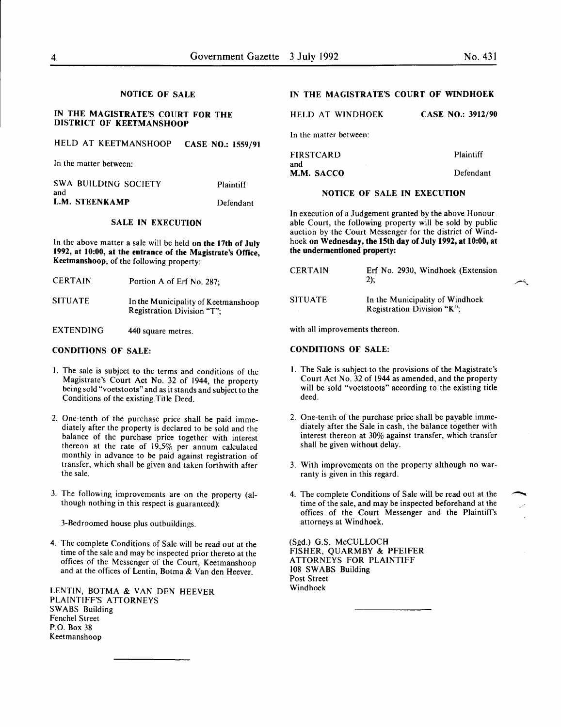#### NOTICE OF SALE

# IN THE MAGISTRATE'S COURT FOR THE DISTRICT OF KEETMANSHOOP

### HELD AT KEETMANSHOOP CASE NO.: 1559/91

In the matter between:

| and | SWA BUILDING SOCIETY | Plaintiff |
|-----|----------------------|-----------|
|     | L.M. STEENKAMP       | Defendant |

#### SALE IN EXECUTION

In the above matter a sale will be held on the 17th of July 1992, at 10:00, at the entrance of the Magistrate's Office, Keetmanshoop, of the following property:

| <b>CERTAIN</b> | Portion A of Erf No. 287;                                         |
|----------------|-------------------------------------------------------------------|
| <b>SITUATE</b> | In the Municipality of Keetmanshoop<br>Registration Division "T": |

EXTENDING 440 square metres.

# CONDITIONS OF SALE:

- I. The sale is subject to the terms and conditions of the Magistrate's Court Act No. 32 of 1944, the property bemg sold "voetstoots" and as it stands and subject to the Conditions of the existing Title Deed.
- 2. One-tenth of the purchase price shall be paid immediately after the property is declared to be sold and the balance of the purchase price together with interest thereon at the rate of 19,5% per annum calculated monthly in advance to be paid against registration of transfer, which shall be given and taken forthwith after the sale.
- 3. The following improvements are on the property (although nothing in this respect is guaranteed):

3-Bedroomed house plus outbuildings.

4. The complete Conditions of Sale will be read out at the time of the sale and may be inspected prior thereto at the offices of the Messenger of the Court, Keetmanshoop and at the offices of Lentin, Botma & Van den Heever.

LENTIN, BOTMA & VAN DEN HEEVER PLAINTIFF'S ATTORNEYS SWABS Building Fenchel Street P.O. Box 38 Keetmanshoop

# IN THE MAGISTRATE'S COURT OF WINDHOEK

|  | HELD AT WINDHOEK |  | <b>CASE NO.: 3912/90</b> |
|--|------------------|--|--------------------------|
|  |                  |  |                          |

In the matter between:

FIRSTCARD and M.M. SACCO Plaintiff Defendant

#### NOTICE OF SALE IN EXECUTION

In execution of a Judgement granted by the above Honourable Court, the following property will be sold by public auction by the Court Messenger for the district of Windhoek on Wednesday, the 15th day of July 1992, at 10:00, at the undermentioned property:

| <b>CERTAIN</b> | Erf No. 2930, Windhoek (Extension<br>$2)$ :                   |
|----------------|---------------------------------------------------------------|
| <b>SITUATE</b> | In the Municipality of Windhoek<br>Registration Division "K"; |

with all improvements thereon.

# CONDITIONS OF SALE:

- I. The Sale is subject to the provisions of the Magistrate's Court Act No. 32 of 1944 as amended, and the property will be sold "voetstoots" according to the existing title deed.
- 2. One-tenth of the purchase price shall be payable immediately after the Sale in cash, the balance together with interest thereon at 30% against transfer, which transfer shall be given without delay.
- 3. With improvements on the property although no warranty is given in this regard.
- 4. The complete Conditions of Sale will be read out at the time of the sale, and may be inspected beforehand at the offices of the Court Messenger and the Plaintiffs attorneys at Windhoek.

(Sgd.) G.S. McCULLOCH FISHER, QUARMBY & PFEIFER ATTORNEYS FOR PLAINTIFF 108 SWABS Building Post Street Windhoek